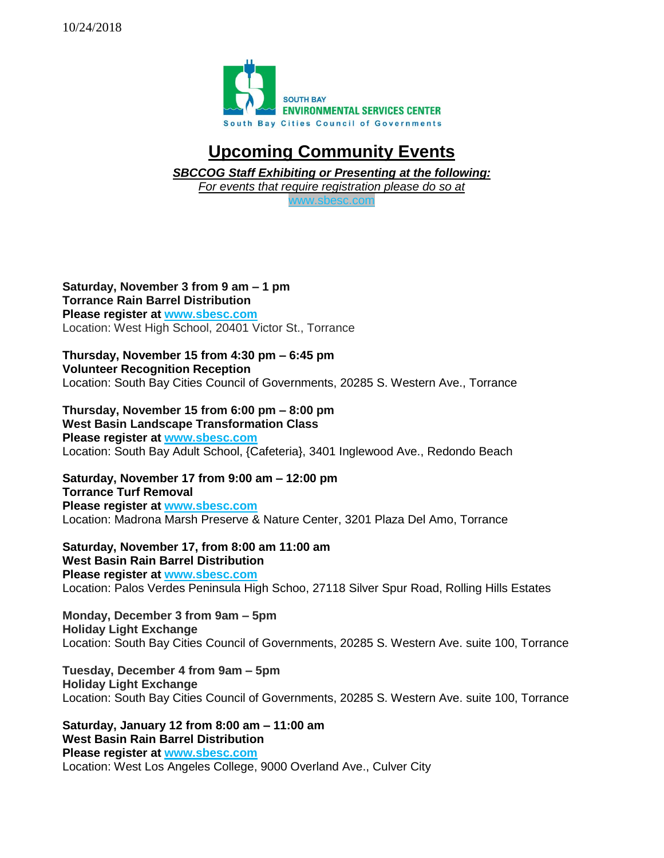

## **Upcoming Community Events**

*SBCCOG Staff Exhibiting or Presenting at the following:*

*For events that require registration please do so at* 

c.com

**Saturday, November 3 from 9 am – 1 pm Torrance Rain Barrel Distribution Please register at [www.sbesc.com](http://www.sbesc.com/)** Location: West High School, 20401 Victor St., Torrance

**Thursday, November 15 from 4:30 pm – 6:45 pm Volunteer Recognition Reception** Location: South Bay Cities Council of Governments, 20285 S. Western Ave., Torrance

**Thursday, November 15 from 6:00 pm – 8:00 pm West Basin Landscape Transformation Class Please register at [www.sbesc.com](http://www.sbesc.com/)** Location: South Bay Adult School, {Cafeteria}, 3401 Inglewood Ave., Redondo Beach

**Saturday, November 17 from 9:00 am – 12:00 pm Torrance Turf Removal Please register at [www.sbesc.com](http://www.sbesc.com/)** Location: Madrona Marsh Preserve & Nature Center, 3201 Plaza Del Amo, Torrance

**Saturday, November 17, from 8:00 am 11:00 am West Basin Rain Barrel Distribution Please register at [www.sbesc.com](http://www.sbesc.com/)** Location: Palos Verdes Peninsula High Schoo, 27118 Silver Spur Road, Rolling Hills Estates

**Monday, December 3 from 9am – 5pm Holiday Light Exchange** Location: South Bay Cities Council of Governments, 20285 S. Western Ave. suite 100, Torrance

**Tuesday, December 4 from 9am – 5pm Holiday Light Exchange** Location: South Bay Cities Council of Governments, 20285 S. Western Ave. suite 100, Torrance

**Saturday, January 12 from 8:00 am – 11:00 am West Basin Rain Barrel Distribution Please register at [www.sbesc.com](http://www.sbesc.com/)** Location: West Los Angeles College, 9000 Overland Ave., Culver City